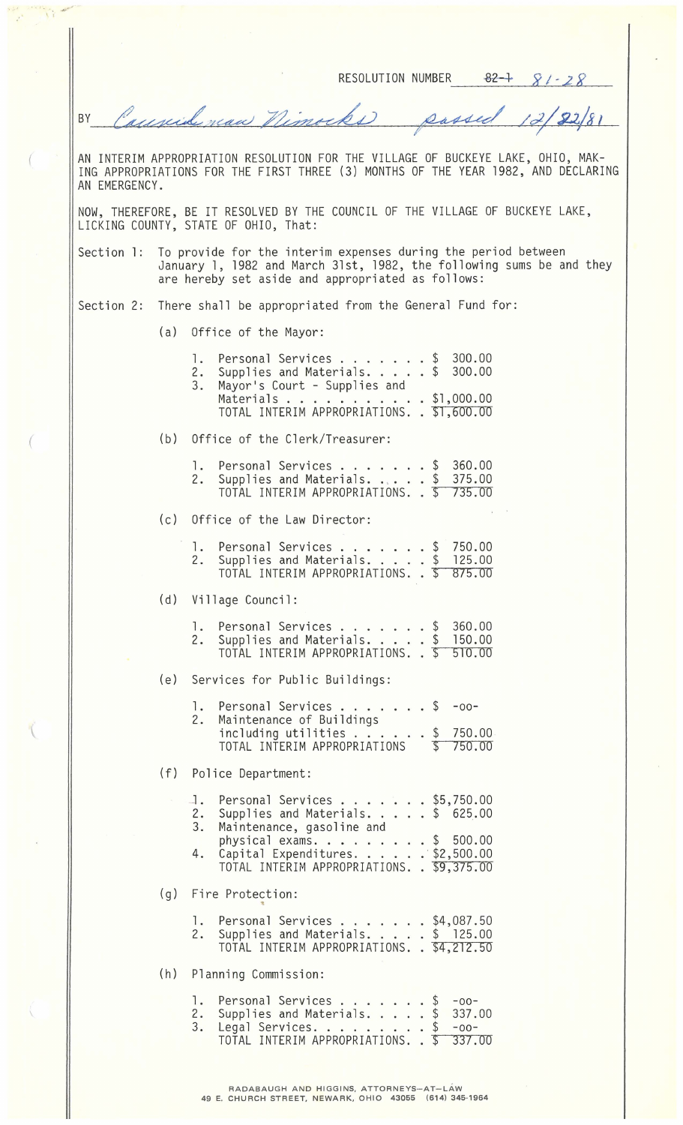RESOLUTION NUMBER  $82-1$   $81-28$ 

Causide naw Nimocks  $12/22/81$ sassed  $\overline{\mathcal{L}}$ BY

AN INTERIM APPROPRIATION RESOLUTION FOR THE VILLAGE OF BUCKEYE LAKE, OHIO, MAK-ING APPROPRIATIONS FOR THE FIRST THREE (3) MONTHS OF THE YEAR 1982, AND DECLARING AN EMERGENCY .

NOW, THEREFORE, BE IT RESOLVED BY THE COUNCIL OF THE VILLAGE OF BUCKEYE LAKE, LICKING COUNTY, STATE OF OHIO, That :

Section l: To provide for the interim expenses during the period between January **l,** 1982 and March 31st, 1982, the following sums be and they are hereby set aside and appropriated as follows :

Section 2: There shall be appropriated from the General Fund for:

(a) Office of the Mayor:

 $($ 

W

|                          | $\mathsf{I}$ .<br>2.<br>3.         | Personal Services \$ 300.00<br>Supplies and Materials. \$ 300.00<br>Personal Services<br>Mayor's Court - Supplies and<br>Materials \$1,000.00<br>TOTAL INTERIM APPROPRIATIONS. . \$1,600.00                                  |  |  |  |  |  |  |
|--------------------------|------------------------------------|------------------------------------------------------------------------------------------------------------------------------------------------------------------------------------------------------------------------------|--|--|--|--|--|--|
|                          |                                    | (b) Office of the Clerk/Treasurer:                                                                                                                                                                                           |  |  |  |  |  |  |
|                          |                                    | $$360.00$<br>$$375.00$<br>1. Personal Services<br>2. Supplies and Materials.<br>TOTAL INTERIM APPROPRIATIONS. . \$ 735.00                                                                                                    |  |  |  |  |  |  |
|                          | (c) Office of the Law Director:    |                                                                                                                                                                                                                              |  |  |  |  |  |  |
|                          |                                    | 1. Personal Services \$ 750.00<br>2. Supplies and Materials. \$ 125.00<br>TOTAL INTERIM APPROPRIATIONS. . \$ 875.00                                                                                                          |  |  |  |  |  |  |
|                          | (d) Village Council:               |                                                                                                                                                                                                                              |  |  |  |  |  |  |
|                          |                                    | 1. Personal Services \$ 360.00<br>2. Supplies and Materials. \$ 150.00<br>2. Supplies and Materials. \$ 150.00<br>TOTAL INTERIM APPROPRIATIONS. . \$ 510.00                                                                  |  |  |  |  |  |  |
|                          | (e) Services for Public Buildings: |                                                                                                                                                                                                                              |  |  |  |  |  |  |
|                          | 2.                                 | 1. Personal Services \$<br>$-00-$<br>Maintenance of Buildings<br>including utilities $\ldots$ $\ldots$ $\frac{1}{2}$ 750.00<br>TOTAL INTERIM APPROPRIATIONS \$750.00                                                         |  |  |  |  |  |  |
|                          | (f) Police Department:             |                                                                                                                                                                                                                              |  |  |  |  |  |  |
|                          | 3.<br>4.                           | 1. Personal Services \$5,750.00<br>2. Supplies and Materials. \$ 625.00<br>Maintenance, gasoline and<br>physical exams. $\ldots$ \$ 500.00<br>Capital Expenditures. \$2,500.00<br>TOTAL INTERIM APPROPRIATIONS. . \$9,375.00 |  |  |  |  |  |  |
|                          |                                    | (g) Fire Protection:                                                                                                                                                                                                         |  |  |  |  |  |  |
|                          |                                    | 1. Personal Services \$4,087.50<br>2. Supplies and Materials. \$ 125.00<br>TOTAL INTERIM APPROPRIATIONS. . \$4,212.50                                                                                                        |  |  |  |  |  |  |
| (h) Planning Commission: |                                    |                                                                                                                                                                                                                              |  |  |  |  |  |  |
|                          |                                    | 1. Personal Services \$ -00-<br>2. Supplies and Materials. \$ 337.00<br>3. Legal Services. 5 -00-<br>TOTAL INTERIM APPROPRIATIONS. . \$ 337.00<br>337.00                                                                     |  |  |  |  |  |  |
|                          |                                    |                                                                                                                                                                                                                              |  |  |  |  |  |  |